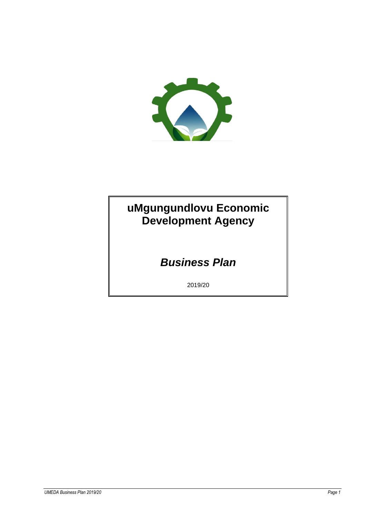

# **uMgungundlovu Economic Development Agency**

# *Business Plan*

2019/20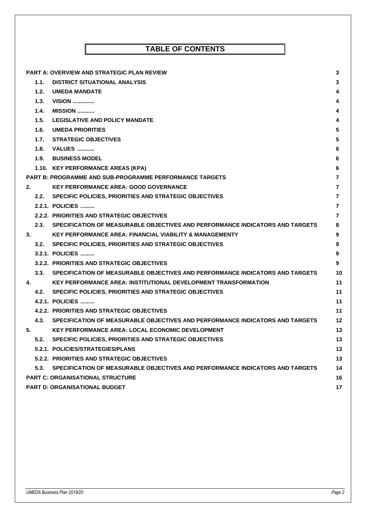|    |      | <b>PART A: OVERVIEW AND STRATEGIC PLAN REVIEW</b>                                  | 3              |
|----|------|------------------------------------------------------------------------------------|----------------|
|    | 1.1. | <b>DISTRICT SITUATIONAL ANALYSIS</b>                                               | 3              |
|    | 1.2. | <b>UMEDA MANDATE</b>                                                               | 4              |
|    | 1.3. | $VISION$                                                                           | 4              |
|    | 1.4. | <b>MISSION</b>                                                                     | 4              |
|    | 1.5. | <b>LEGISLATIVE AND POLICY MANDATE</b>                                              | 4              |
|    | 1.6. | <b>UMEDA PRIORITIES</b>                                                            | 5              |
|    |      | 1.7. STRATEGIC OBJECTIVES                                                          | 5              |
|    |      | 1.8. VALUES                                                                        | 6              |
|    |      | 1.9. BUSINESS MODEL                                                                | 6              |
|    |      | 1.10. KEY PERFORMANCE AREAS (KPA)                                                  | 6              |
|    |      | <b>PART B: PROGRAMME AND SUB-PROGRAMME PERFORMANCE TARGETS</b>                     | 7              |
| 2. |      | <b>KEY PERFORMANCE AREA: GOOD GOVERNANCE</b>                                       | 7              |
|    |      | 2.2. SPECIFIC POLICIES, PRIORITIES AND STRATEGIC OBJECTIVES                        | $\overline{7}$ |
|    |      | 2.2.1. POLICIES                                                                    | $\overline{7}$ |
|    |      | 2.2.2. PRIORITIES AND STRATEGIC OBJECTIVES                                         | $\overline{7}$ |
|    |      | 2.3. SPECIFICATION OF MEASURABLE OBJECTIVES AND PERFORMANCE INDICATORS AND TARGETS | 8              |
| 3. |      | <b>KEY PERFORMANCE AREA: FINANCIAL VIABILITY &amp; MANAGEMENTY</b>                 | 9              |
|    |      | 3.2. SPECIFIC POLICIES, PRIORITIES AND STRATEGIC OBJECTIVES                        | 9              |
|    |      | 3.2.1. POLICIES                                                                    | 9              |
|    |      | 3.2.2. PRIORITIES AND STRATEGIC OBJECTIVES                                         | 9              |
|    |      | 3.3. SPECIFICATION OF MEASURABLE OBJECTIVES AND PERFORMANCE INDICATORS AND TARGETS | 10             |
| 4. |      | KEY PERFORMANCE AREA: INSTITUTIONAL DEVELOPMENT TRANSFORMATION                     | 11             |
|    |      | 4.2. SPECIFIC POLICIES, PRIORITIES AND STRATEGIC OBJECTIVES                        | 11             |
|    |      | 4.2.1. POLICIES                                                                    | 11             |
|    |      | 4.2.2. PRIORITIES AND STRATEGIC OBJECTIVES                                         | 11             |
|    | 4.3. | SPECIFICATION OF MEASURABLE OBJECTIVES AND PERFORMANCE INDICATORS AND TARGETS      | 12             |
| 5. |      | <b>KEY PERFORMANCE AREA: LOCAL ECONOMIC DEVELOPMENT</b>                            | 13             |
|    | 5.2. | SPECIFIC POLICIES, PRIORITIES AND STRATEGIC OBJECTIVES                             | 13             |
|    |      | 5.2.1. POLICIES/STRATEGIES/PLANS                                                   | 13             |
|    |      | 5.2.2. PRIORITIES AND STRATEGIC OBJECTIVES                                         | 13             |
|    | 5.3. | SPECIFICATION OF MEASURABLE OBJECTIVES AND PERFORMANCE INDICATORS AND TARGETS      | 14             |
|    |      | <b>PART C: ORGANISATIONAL STRUCTURE</b>                                            | 16             |
|    |      | <b>PART D: ORGANISATIONAL BUDGET</b>                                               | 17             |

**TABLE OF CONTENTS**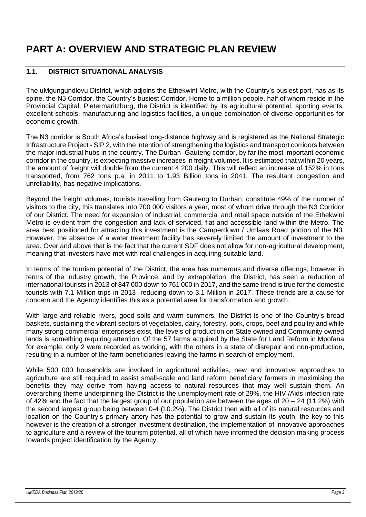# <span id="page-2-1"></span><span id="page-2-0"></span>**PART A: OVERVIEW AND STRATEGIC PLAN REVIEW**

### **1.1. DISTRICT SITUATIONAL ANALYSIS**

The uMgungundlovu District, which adjoins the Ethekwini Metro, with the Country's busiest port, has as its spine, the N3 Corridor, the Country's busiest Corridor. Home to a million people, half of whom reside in the Provincial Capital, Pietermaritzburg, the District is identified by its agricultural potential, sporting events, excellent schools, manufacturing and logistics facilities, a unique combination of diverse opportunities for economic growth.

The N3 corridor is South Africa's busiest long-distance highway and is registered as the National Strategic Infrastructure Project - SIP 2, with the intention of strengthening the logistics and transport corridors between the major industrial hubs in the country. The Durban–Gauteng corridor, by far the most important economic corridor in the country, is expecting massive increases in freight volumes. It is estimated that within 20 years, the amount of freight will double from the current 4 200 daily. This will reflect an increase of 152% in tons transported, from 762 tons p.a. in 2011 to 1.93 Billion tons in 2041. The resultant congestion and unreliability, has negative implications.

Beyond the freight volumes, tourists travelling from Gauteng to Durban, constitute 49% of the number of visitors to the city, this translates into 700 000 visitors a year, most of whom drive through the N3 Corridor of our District. The need for expansion of industrial, commercial and retail space outside of the Ethekwini Metro is evident from the congestion and lack of serviced, flat and accessible land within the Metro. The area best positioned for attracting this investment is the Camperdown / Umlaas Road portion of the N3. However, the absence of a water treatment facility has severely limited the amount of investment to the area. Over and above that is the fact that the current SDF does not allow for non-agricultural development, meaning that investors have met with real challenges in acquiring suitable land.

In terms of the tourism potential of the District, the area has numerous and diverse offerings, however in terms of the industry growth, the Province, and by extrapolation, the District, has seen a reduction of international tourists in 2013 of 847 000 down to 761 000 in 2017, and the same trend is true for the domestic tourists with 7.1 Million trips in 2013 reducing down to 3.1 Million in 2017. These trends are a cause for concern and the Agency identifies this as a potential area for transformation and growth.

With large and reliable rivers, good soils and warm summers, the District is one of the Country's bread baskets, sustaining the vibrant sectors of vegetables, dairy, forestry, pork, crops, beef and poultry and while many strong commercial enterprises exist, the levels of production on State owned and Community owned lands is something requiring attention. Of the 57 farms acquired by the State for Land Reform in Mpofana for example, only 2 were recorded as working, with the others in a state of disrepair and non-production, resulting in a number of the farm beneficiaries leaving the farms in search of employment.

While 500 000 households are involved in agricultural activities, new and innovative approaches to agriculture are still required to assist small-scale and land reform beneficiary farmers in maximising the benefits they may derive from having access to natural resources that may well sustain them. An overarching theme underpinning the District is the unemployment rate of 29%, the HIV /Aids infection rate of 42% and the fact that the largest group of our population are between the ages of  $20 - 24$  (11.2%) with the second largest group being between 0-4 (10.2%). The District then with all of its natural resources and location on the Country's primary artery has the potential to grow and sustain its youth, the key to this however is the creation of a stronger investment destination, the implementation of innovative approaches to agriculture and a review of the tourism potential, all of which have informed the decision making process towards project identification by the Agency.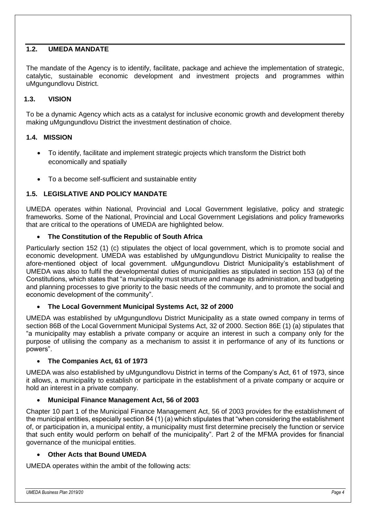### <span id="page-3-0"></span>**1.2. UMEDA MANDATE**

<span id="page-3-1"></span>The mandate of the Agency is to identify, facilitate, package and achieve the implementation of strategic, catalytic, sustainable economic development and investment projects and programmes within uMgungundlovu District.

#### **1.3. VISION**

To be a dynamic Agency which acts as a catalyst for inclusive economic growth and development thereby making uMgungundlovu District the investment destination of choice.

#### <span id="page-3-2"></span>**1.4. MISSION**

- To identify, facilitate and implement strategic projects which transform the District both economically and spatially
- To a become self-sufficient and sustainable entity

#### <span id="page-3-3"></span>**1.5. LEGISLATIVE AND POLICY MANDATE**

UMEDA operates within National, Provincial and Local Government legislative, policy and strategic frameworks. Some of the National, Provincial and Local Government Legislations and policy frameworks that are critical to the operations of UMEDA are highlighted below.

#### • **The Constitution of the Republic of South Africa**

Particularly section 152 (1) (c) stipulates the object of local government, which is to promote social and economic development. UMEDA was established by uMgungundlovu District Municipality to realise the afore-mentioned object of local government. uMgungundlovu District Municipality's establishment of UMEDA was also to fulfil the developmental duties of municipalities as stipulated in section 153 (a) of the Constitutions, which states that "a municipality must structure and manage its administration, and budgeting and planning processes to give priority to the basic needs of the community, and to promote the social and economic development of the community".

#### • **The Local Government Municipal Systems Act, 32 of 2000**

UMEDA was established by uMgungundlovu District Municipality as a state owned company in terms of section 86B of the Local Government Municipal Systems Act, 32 of 2000. Section 86E (1) (a) stipulates that "a municipality may establish a private company or acquire an interest in such a company only for the purpose of utilising the company as a mechanism to assist it in performance of any of its functions or powers".

#### • **The Companies Act, 61 of 1973**

UMEDA was also established by uMgungundlovu District in terms of the Company's Act, 61 of 1973, since it allows, a municipality to establish or participate in the establishment of a private company or acquire or hold an interest in a private company.

#### • **Municipal Finance Management Act, 56 of 2003**

Chapter 10 part 1 of the Municipal Finance Management Act, 56 of 2003 provides for the establishment of the municipal entities, especially section 84 (1) (a) which stipulates that "when considering the establishment of, or participation in, a municipal entity, a municipality must first determine precisely the function or service that such entity would perform on behalf of the municipality". Part 2 of the MFMA provides for financial governance of the municipal entities.

#### • **Other Acts that Bound UMEDA**

UMEDA operates within the ambit of the following acts: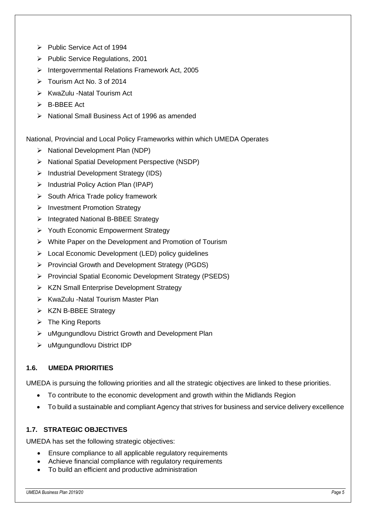- ➢ Public Service Act of 1994
- ➢ Public Service Regulations, 2001
- ➢ Intergovernmental Relations Framework Act, 2005
- ➢ Tourism Act No. 3 of 2014
- ➢ KwaZulu -Natal Tourism Act
- ➢ B-BBEE Act
- ➢ National Small Business Act of 1996 as amended

National, Provincial and Local Policy Frameworks within which UMEDA Operates

- ➢ National Development Plan (NDP)
- ➢ National Spatial Development Perspective (NSDP)
- ➢ Industrial Development Strategy (IDS)
- ➢ Industrial Policy Action Plan (IPAP)
- ➢ South Africa Trade policy framework
- ➢ Investment Promotion Strategy
- ➢ Integrated National B-BBEE Strategy
- ➢ Youth Economic Empowerment Strategy
- ➢ White Paper on the Development and Promotion of Tourism
- ➢ Local Economic Development (LED) policy guidelines
- ➢ Provincial Growth and Development Strategy (PGDS)
- ➢ Provincial Spatial Economic Development Strategy (PSEDS)
- ➢ KZN Small Enterprise Development Strategy
- ➢ KwaZulu -Natal Tourism Master Plan
- ➢ KZN B-BBEE Strategy
- $\triangleright$  The King Reports
- ➢ uMgungundlovu District Growth and Development Plan
- ➢ uMgungundlovu District IDP

## <span id="page-4-0"></span>**1.6. UMEDA PRIORITIES**

UMEDA is pursuing the following priorities and all the strategic objectives are linked to these priorities.

- To contribute to the economic development and growth within the Midlands Region
- To build a sustainable and compliant Agency that strives for business and service delivery excellence

#### <span id="page-4-1"></span>**1.7. STRATEGIC OBJECTIVES**

UMEDA has set the following strategic objectives:

- Ensure compliance to all applicable regulatory requirements
- Achieve financial compliance with regulatory requirements
- To build an efficient and productive administration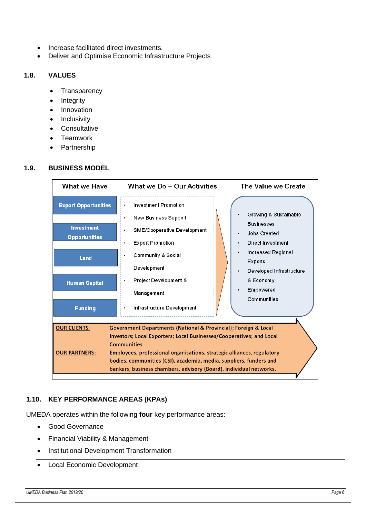- Increase facilitated direct investments.
- Deliver and Optimise Economic Infrastructure Projects

### <span id="page-5-0"></span>**1.8. VALUES**

- **Transparency**
- **Integrity**
- **Innovation**
- **Inclusivity**
- **Consultative**
- **Teamwork**
- **Partnership**

#### <span id="page-5-1"></span>**1.9. BUSINESS MODEL**



#### <span id="page-5-2"></span>**1.10. KEY PERFORMANCE AREAS (KPAs)**

UMEDA operates within the following **four** key performance areas:

- Good Governance
- Financial Viability & Management
- Institutional Development Transformation
- Local Economic Development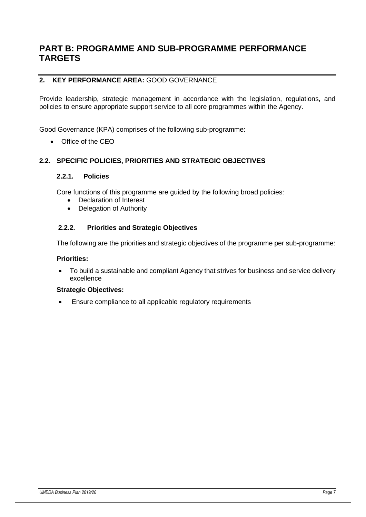## <span id="page-6-0"></span>**PART B: PROGRAMME AND SUB-PROGRAMME PERFORMANCE TARGETS**

### <span id="page-6-1"></span>**2. KEY PERFORMANCE AREA:** GOOD GOVERNANCE

Provide leadership, strategic management in accordance with the legislation, regulations, and policies to ensure appropriate support service to all core programmes within the Agency.

Good Governance (KPA) comprises of the following sub-programme:

• Office of the CEO

#### <span id="page-6-3"></span><span id="page-6-2"></span>**2.2. SPECIFIC POLICIES, PRIORITIES AND STRATEGIC OBJECTIVES**

#### **2.2.1. Policies**

Core functions of this programme are guided by the following broad policies:

- Declaration of Interest
- Delegation of Authority

#### <span id="page-6-4"></span>**2.2.2. Priorities and Strategic Objectives**

The following are the priorities and strategic objectives of the programme per sub-programme:

#### **Priorities:**

• To build a sustainable and compliant Agency that strives for business and service delivery excellence

#### **Strategic Objectives:**

• Ensure compliance to all applicable regulatory requirements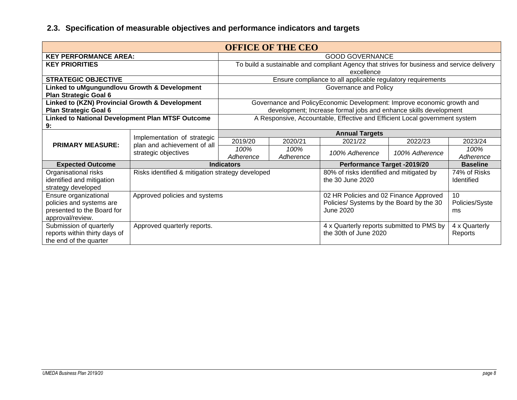<span id="page-7-0"></span>

| <b>OFFICE OF THE CEO</b>                                              |                                                                                    |                                          |           |                                                                                            |                |                 |
|-----------------------------------------------------------------------|------------------------------------------------------------------------------------|------------------------------------------|-----------|--------------------------------------------------------------------------------------------|----------------|-----------------|
| <b>KEY PERFORMANCE AREA:</b>                                          |                                                                                    | <b>GOOD GOVERNANCE</b>                   |           |                                                                                            |                |                 |
| <b>KEY PRIORITIES</b>                                                 |                                                                                    |                                          |           | To build a sustainable and compliant Agency that strives for business and service delivery |                |                 |
|                                                                       |                                                                                    |                                          |           | excellence                                                                                 |                |                 |
| <b>STRATEGIC OBJECTIVE</b>                                            |                                                                                    |                                          |           | Ensure compliance to all applicable regulatory requirements                                |                |                 |
| Linked to uMgungundlovu Growth & Development<br>Plan Strategic Goal 6 |                                                                                    |                                          |           | Governance and Policy                                                                      |                |                 |
| Linked to (KZN) Provincial Growth & Development                       |                                                                                    |                                          |           | Governance and PolicyEconomic Development: Improve economic growth and                     |                |                 |
| Plan Strategic Goal 6                                                 |                                                                                    |                                          |           | development; Increase formal jobs and enhance skills development                           |                |                 |
|                                                                       | Linked to National Development Plan MTSF Outcome                                   |                                          |           | A Responsive, Accountable, Effective and Efficient Local government system                 |                |                 |
| 9:                                                                    |                                                                                    |                                          |           |                                                                                            |                |                 |
|                                                                       | Implementation of strategic<br>plan and achievement of all<br>strategic objectives | <b>Annual Targets</b>                    |           |                                                                                            |                |                 |
| <b>PRIMARY MEASURE:</b>                                               |                                                                                    | 2019/20                                  | 2020/21   | 2021/22                                                                                    | 2022/23        | 2023/24         |
|                                                                       |                                                                                    | 100%                                     | 100%      | 100% Adherence                                                                             | 100% Adherence | 100%            |
|                                                                       |                                                                                    | Adherence                                | Adherence |                                                                                            |                | Adherence       |
| <b>Expected Outcome</b>                                               |                                                                                    | <b>Indicators</b>                        |           | <b>Performance Target -2019/20</b>                                                         |                | <b>Baseline</b> |
| Organisational risks                                                  | Risks identified & mitigation strategy developed                                   |                                          |           | 80% of risks identified and mitigated by                                                   |                | 74% of Risks    |
| identified and mitigation                                             |                                                                                    | the 30 June 2020                         |           |                                                                                            | Identified     |                 |
| strategy developed                                                    |                                                                                    |                                          |           |                                                                                            |                |                 |
| Ensure organizational                                                 | Approved policies and systems                                                      |                                          |           | 02 HR Policies and 02 Finance Approved                                                     |                | 10              |
| policies and systems are                                              |                                                                                    | Policies/ Systems by the Board by the 30 |           |                                                                                            | Policies/Syste |                 |
| presented to the Board for                                            |                                                                                    |                                          |           | June 2020                                                                                  |                | ms              |
| approval/review.                                                      |                                                                                    |                                          |           |                                                                                            |                |                 |
| Submission of quarterly<br>Approved quarterly reports.                |                                                                                    |                                          |           | 4 x Quarterly reports submitted to PMS by                                                  |                | 4 x Quarterly   |
| reports within thirty days of                                         |                                                                                    |                                          |           | the 30th of June 2020                                                                      |                | Reports         |
| the end of the quarter                                                |                                                                                    |                                          |           |                                                                                            |                |                 |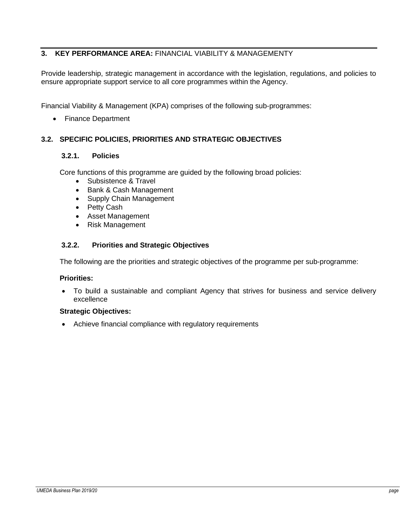### **3. KEY PERFORMANCE AREA:** FINANCIAL VIABILITY & MANAGEMENTY

<span id="page-8-0"></span>Provide leadership, strategic management in accordance with the legislation, regulations, and policies to ensure appropriate support service to all core programmes within the Agency.

Financial Viability & Management (KPA) comprises of the following sub-programmes:

• Finance Department

#### **3.2. SPECIFIC POLICIES, PRIORITIES AND STRATEGIC OBJECTIVES**

#### **3.2.1. Policies**

<span id="page-8-2"></span><span id="page-8-1"></span>Core functions of this programme are guided by the following broad policies:

- Subsistence & Travel
- Bank & Cash Management
- Supply Chain Management
- Petty Cash
- Asset Management
- Risk Management

#### **3.2.2. Priorities and Strategic Objectives**

The following are the priorities and strategic objectives of the programme per sub-programme:

#### <span id="page-8-3"></span>**Priorities:**

• To build a sustainable and compliant Agency that strives for business and service delivery excellence

#### **Strategic Objectives:**

• Achieve financial compliance with regulatory requirements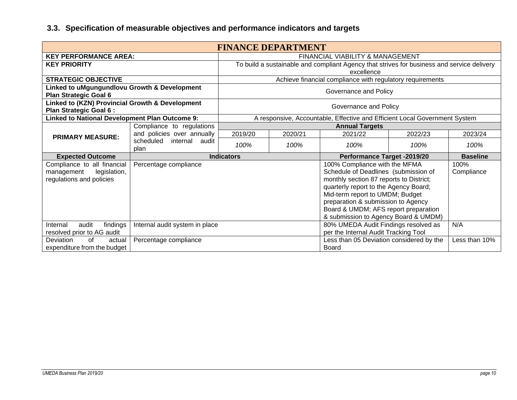<span id="page-9-0"></span>

| <b>FINANCE DEPARTMENT</b>                                                             |                                  |                                             |                                                                                                                                                       |                                                                                                                                                           |               |                    |
|---------------------------------------------------------------------------------------|----------------------------------|---------------------------------------------|-------------------------------------------------------------------------------------------------------------------------------------------------------|-----------------------------------------------------------------------------------------------------------------------------------------------------------|---------------|--------------------|
| <b>KEY PERFORMANCE AREA:</b>                                                          |                                  | <b>FINANCIAL VIABILITY &amp; MANAGEMENT</b> |                                                                                                                                                       |                                                                                                                                                           |               |                    |
| <b>KEY PRIORITY</b>                                                                   |                                  |                                             |                                                                                                                                                       | To build a sustainable and compliant Agency that strives for business and service delivery                                                                |               |                    |
|                                                                                       |                                  |                                             |                                                                                                                                                       | excellence                                                                                                                                                |               |                    |
| <b>STRATEGIC OBJECTIVE</b>                                                            |                                  |                                             |                                                                                                                                                       | Achieve financial compliance with regulatory requirements                                                                                                 |               |                    |
| Linked to uMgungundlovu Growth & Development<br>Plan Strategic Goal 6                 |                                  |                                             |                                                                                                                                                       | Governance and Policy                                                                                                                                     |               |                    |
| Linked to (KZN) Provincial Growth & Development<br>Plan Strategic Goal 6:             |                                  |                                             |                                                                                                                                                       | Governance and Policy                                                                                                                                     |               |                    |
| <b>Linked to National Development Plan Outcome 9:</b>                                 |                                  |                                             |                                                                                                                                                       | A responsive, Accountable, Effective and Efficient Local Government System                                                                                |               |                    |
|                                                                                       | Compliance to regulations        |                                             |                                                                                                                                                       | <b>Annual Targets</b>                                                                                                                                     |               |                    |
| <b>PRIMARY MEASURE:</b>                                                               | and policies over annually       | 2019/20                                     | 2020/21                                                                                                                                               | 2021/22                                                                                                                                                   | 2022/23       | 2023/24            |
|                                                                                       | scheduled internal audit<br>plan | 100%                                        | 100%                                                                                                                                                  | 100%                                                                                                                                                      | 100%          | 100%               |
| <b>Expected Outcome</b>                                                               |                                  | <b>Indicators</b>                           |                                                                                                                                                       | Performance Target -2019/20                                                                                                                               |               | <b>Baseline</b>    |
| Compliance to all financial<br>legislation,<br>management<br>regulations and policies | Percentage compliance            |                                             |                                                                                                                                                       | 100% Compliance with the MFMA<br>Schedule of Deadlines (submission of<br>monthly section 87 reports to District;<br>quarterly report to the Agency Board; |               | 100%<br>Compliance |
|                                                                                       |                                  |                                             | Mid-term report to UMDM; Budget<br>preparation & submission to Agency<br>Board & UMDM; AFS report preparation<br>& submission to Agency Board & UMDM) |                                                                                                                                                           |               |                    |
| findings<br>audit<br>Internal<br>resolved prior to AG audit                           | Internal audit system in place   |                                             |                                                                                                                                                       | 80% UMEDA Audit Findings resolved as<br>per the Internal Audit Tracking Tool                                                                              |               | N/A                |
| Deviation<br>of<br>actual<br>expenditure from the budget                              |                                  |                                             | Less than 05 Deviation considered by the<br>Board                                                                                                     |                                                                                                                                                           | Less than 10% |                    |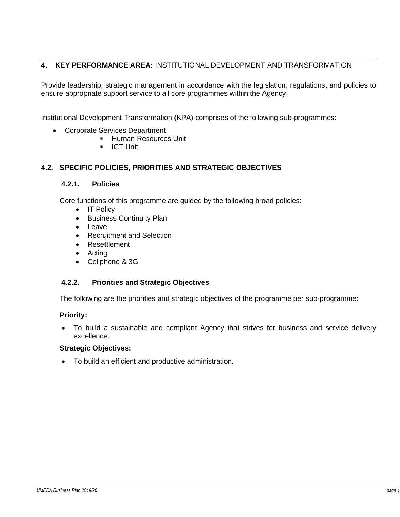### **4. KEY PERFORMANCE AREA:** INSTITUTIONAL DEVELOPMENT AND TRANSFORMATION

<span id="page-10-0"></span>Provide leadership, strategic management in accordance with the legislation, regulations, and policies to ensure appropriate support service to all core programmes within the Agency.

Institutional Development Transformation (KPA) comprises of the following sub-programmes:

- Corporate Services Department
	- **Human Resources Unit**
	- **■** ICT Unit

#### **4.2. SPECIFIC POLICIES, PRIORITIES AND STRATEGIC OBJECTIVES**

#### **4.2.1. Policies**

<span id="page-10-2"></span><span id="page-10-1"></span>Core functions of this programme are guided by the following broad policies:

- IT Policy
- Business Continuity Plan
- Leave
- Recruitment and Selection
- Resettlement
- Acting
- Cellphone & 3G

#### **4.2.2. Priorities and Strategic Objectives**

The following are the priorities and strategic objectives of the programme per sub-programme:

#### <span id="page-10-3"></span>**Priority:**

• To build a sustainable and compliant Agency that strives for business and service delivery excellence.

#### **Strategic Objectives:**

• To build an efficient and productive administration.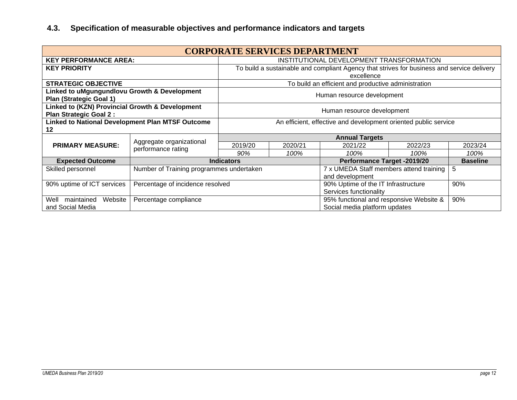<span id="page-11-0"></span>

| <b>CORPORATE SERVICES DEPARTMENT</b>                                             |                                                |                                                                 |                               |                                                                                            |         |         |
|----------------------------------------------------------------------------------|------------------------------------------------|-----------------------------------------------------------------|-------------------------------|--------------------------------------------------------------------------------------------|---------|---------|
| <b>KEY PERFORMANCE AREA:</b>                                                     |                                                | INSTITUTIONAL DEVELOPMENT TRANSFORMATION                        |                               |                                                                                            |         |         |
| <b>KEY PRIORITY</b>                                                              |                                                |                                                                 |                               | To build a sustainable and compliant Agency that strives for business and service delivery |         |         |
|                                                                                  |                                                |                                                                 |                               | excellence                                                                                 |         |         |
| <b>STRATEGIC OBJECTIVE</b>                                                       |                                                |                                                                 |                               | To build an efficient and productive administration                                        |         |         |
| Linked to uMgungundlovu Growth & Development<br><b>Plan (Strategic Goal 1)</b>   |                                                |                                                                 | Human resource development    |                                                                                            |         |         |
| Linked to (KZN) Provincial Growth & Development<br><b>Plan Strategic Goal 2:</b> | Human resource development                     |                                                                 |                               |                                                                                            |         |         |
| Linked to National Development Plan MTSF Outcome                                 |                                                | An efficient, effective and development oriented public service |                               |                                                                                            |         |         |
| 12                                                                               |                                                |                                                                 |                               |                                                                                            |         |         |
|                                                                                  |                                                | <b>Annual Targets</b>                                           |                               |                                                                                            |         |         |
| <b>PRIMARY MEASURE:</b>                                                          | Aggregate organizational<br>performance rating | 2019/20                                                         | 2020/21                       | 2021/22                                                                                    | 2022/23 | 2023/24 |
|                                                                                  |                                                | 90%                                                             | 100%                          | 100%                                                                                       | 100%    | 100%    |
| <b>Expected Outcome</b>                                                          |                                                | <b>Indicators</b>                                               |                               | Performance Target -2019/20<br><b>Baseline</b>                                             |         |         |
| Skilled personnel                                                                | Number of Training programmes undertaken       |                                                                 |                               | 7 x UMEDA Staff members attend training                                                    |         | 5       |
|                                                                                  | and development                                |                                                                 |                               |                                                                                            |         |         |
| 90% uptime of ICT services<br>Percentage of incidence resolved                   |                                                |                                                                 |                               | 90% Uptime of the IT Infrastructure                                                        |         | 90%     |
|                                                                                  |                                                |                                                                 | Services functionality        |                                                                                            |         |         |
| Website<br>maintained<br>Well                                                    | Percentage compliance                          |                                                                 |                               | 95% functional and responsive Website &                                                    |         | 90%     |
| and Social Media                                                                 |                                                |                                                                 | Social media platform updates |                                                                                            |         |         |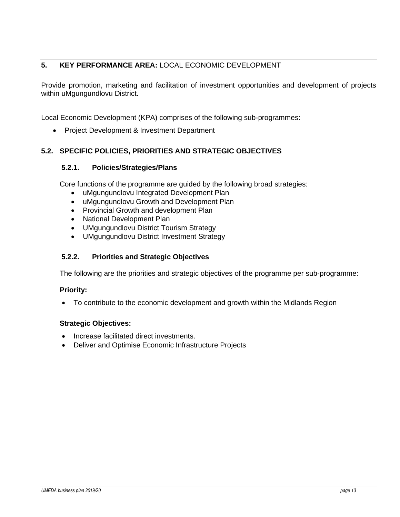### **5. KEY PERFORMANCE AREA:** LOCAL ECONOMIC DEVELOPMENT

<span id="page-12-0"></span>Provide promotion, marketing and facilitation of investment opportunities and development of projects within uMgungundlovu District.

Local Economic Development (KPA) comprises of the following sub-programmes:

• Project Development & Investment Department

#### **5.2. SPECIFIC POLICIES, PRIORITIES AND STRATEGIC OBJECTIVES**

#### **5.2.1. Policies/Strategies/Plans**

<span id="page-12-2"></span><span id="page-12-1"></span>Core functions of the programme are guided by the following broad strategies:

- uMgungundlovu Integrated Development Plan
- uMgungundlovu Growth and Development Plan
- Provincial Growth and development Plan
- National Development Plan
- UMgungundlovu District Tourism Strategy
- UMgungundlovu District Investment Strategy

#### **5.2.2. Priorities and Strategic Objectives**

The following are the priorities and strategic objectives of the programme per sub-programme:

#### <span id="page-12-3"></span>**Priority:**

• To contribute to the economic development and growth within the Midlands Region

#### **Strategic Objectives:**

- Increase facilitated direct investments.
- Deliver and Optimise Economic Infrastructure Projects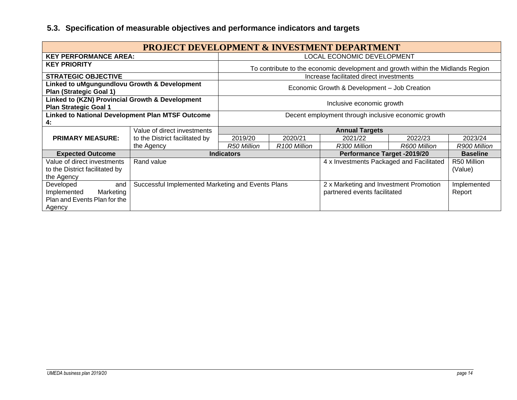<span id="page-13-0"></span>

| <b>PROJECT DEVELOPMENT &amp; INVESTMENT DEPARTMENT</b>                                 |                                                     |                                                   |                                                                                 |                                              |                                                                        |                        |
|----------------------------------------------------------------------------------------|-----------------------------------------------------|---------------------------------------------------|---------------------------------------------------------------------------------|----------------------------------------------|------------------------------------------------------------------------|------------------------|
| <b>KEY PERFORMANCE AREA:</b>                                                           |                                                     |                                                   |                                                                                 | LOCAL ECONOMIC DEVELOPMENT                   |                                                                        |                        |
| <b>KEY PRIORITY</b>                                                                    |                                                     |                                                   | To contribute to the economic development and growth within the Midlands Region |                                              |                                                                        |                        |
| <b>STRATEGIC OBJECTIVE</b>                                                             |                                                     |                                                   |                                                                                 | Increase facilitated direct investments      |                                                                        |                        |
| Linked to uMgungundlovu Growth & Development<br><b>Plan (Strategic Goal 1)</b>         |                                                     |                                                   |                                                                                 | Economic Growth & Development - Job Creation |                                                                        |                        |
| Linked to (KZN) Provincial Growth & Development<br><b>Plan Strategic Goal 1</b>        |                                                     |                                                   | Inclusive economic growth                                                       |                                              |                                                                        |                        |
| <b>Linked to National Development Plan MTSF Outcome</b><br>4:                          | Decent employment through inclusive economic growth |                                                   |                                                                                 |                                              |                                                                        |                        |
|                                                                                        | Value of direct investments                         | <b>Annual Targets</b>                             |                                                                                 |                                              |                                                                        |                        |
| <b>PRIMARY MEASURE:</b>                                                                | to the District facilitated by                      | 2019/20                                           | 2020/21                                                                         | 2021/22                                      | 2022/23                                                                | 2023/24                |
|                                                                                        | the Agency                                          | R50 Million                                       | R <sub>100</sub> Million                                                        | R300 Million                                 | R600 Million                                                           | R900 Million           |
| <b>Expected Outcome</b>                                                                |                                                     | <b>Indicators</b>                                 |                                                                                 | <b>Performance Target -2019/20</b>           |                                                                        | <b>Baseline</b>        |
| Value of direct investments<br>to the District facilitated by<br>the Agency            | Rand value                                          |                                                   |                                                                                 | 4 x Investments Packaged and Facilitated     |                                                                        | R50 Million<br>(Value) |
| Developed<br>and<br>Implemented<br>Marketing<br>Plan and Events Plan for the<br>Agency |                                                     | Successful Implemented Marketing and Events Plans |                                                                                 |                                              | 2 x Marketing and Investment Promotion<br>partnered events facilitated | Implemented<br>Report  |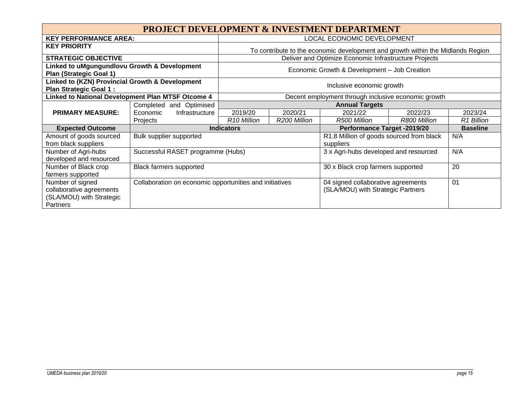| <b>PROJECT DEVELOPMENT &amp; INVESTMENT DEPARTMENT</b>                         |                                                         |                                                  |                                    |                                                                                 |                 |            |
|--------------------------------------------------------------------------------|---------------------------------------------------------|--------------------------------------------------|------------------------------------|---------------------------------------------------------------------------------|-----------------|------------|
| <b>KEY PERFORMANCE AREA:</b>                                                   |                                                         |                                                  |                                    | LOCAL ECONOMIC DEVELOPMENT                                                      |                 |            |
| <b>KEY PRIORITY</b>                                                            |                                                         |                                                  |                                    | To contribute to the economic development and growth within the Midlands Region |                 |            |
| <b>STRATEGIC OBJECTIVE</b>                                                     |                                                         |                                                  |                                    | Deliver and Optimize Economic Infrastructure Projects                           |                 |            |
| Linked to uMgungundlovu Growth & Development<br><b>Plan (Strategic Goal 1)</b> |                                                         |                                                  |                                    | Economic Growth & Development - Job Creation                                    |                 |            |
| Linked to (KZN) Provincial Growth & Development<br>Plan Strategic Goal 1:      |                                                         | Inclusive economic growth                        |                                    |                                                                                 |                 |            |
| Linked to National Development Plan MTSF Otcome 4                              | Decent employment through inclusive economic growth     |                                                  |                                    |                                                                                 |                 |            |
|                                                                                | and Optimised<br>Completed                              | <b>Annual Targets</b>                            |                                    |                                                                                 |                 |            |
| <b>PRIMARY MEASURE:</b>                                                        | Economic<br>Infrastructure                              | 2019/20                                          | 2020/21                            | 2021/22                                                                         | 2022/23         | 2023/24    |
|                                                                                | Projects                                                | R <sub>10</sub> Million                          | R200 Million                       | R500 Million                                                                    | R800 Million    | R1 Billion |
| <b>Expected Outcome</b>                                                        |                                                         | <b>Indicators</b><br>Performance Target -2019/20 |                                    |                                                                                 | <b>Baseline</b> |            |
| Amount of goods sourced                                                        | Bulk supplier supported                                 |                                                  |                                    | R1.8 Million of goods sourced from black                                        |                 | N/A        |
| from black suppliers                                                           |                                                         | suppliers                                        |                                    |                                                                                 |                 |            |
| Number of Agri-hubs                                                            | Successful RASET programme (Hubs)                       | 3 x Agri-hubs developed and resourced            |                                    | N/A                                                                             |                 |            |
| developed and resourced                                                        |                                                         |                                                  |                                    |                                                                                 |                 |            |
| Number of Black crop<br><b>Black farmers supported</b>                         |                                                         | 30 x Black crop farmers supported                |                                    |                                                                                 | 20              |            |
| farmers supported                                                              |                                                         |                                                  |                                    |                                                                                 |                 |            |
| Number of signed                                                               | Collaboration on economic opportunities and initiatives |                                                  | 04 signed collaborative agreements |                                                                                 | 01              |            |
| collaborative agreements                                                       |                                                         |                                                  |                                    | (SLA/MOU) with Strategic Partners                                               |                 |            |
| (SLA/MOU) with Strategic                                                       |                                                         |                                                  |                                    |                                                                                 |                 |            |
| Partners                                                                       |                                                         |                                                  |                                    |                                                                                 |                 |            |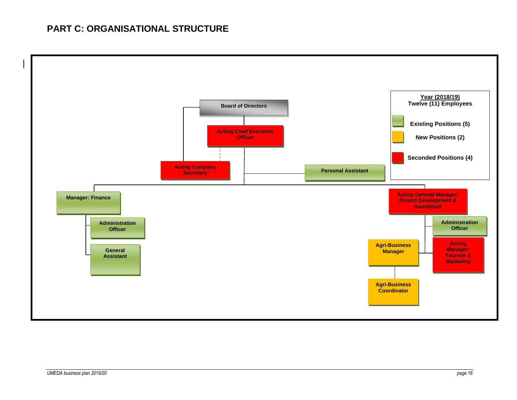## **PART C: ORGANISATIONAL STRUCTURE**

<span id="page-15-0"></span>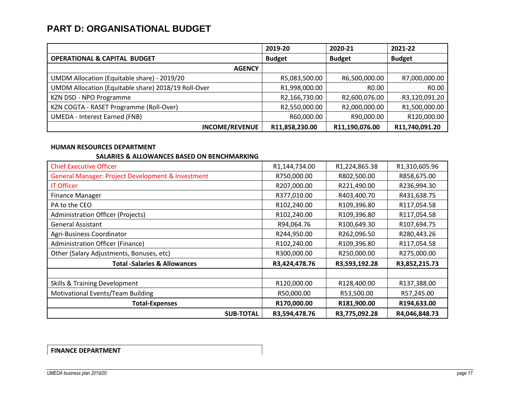## **PART D: ORGANISATIONAL BUDGET**

|                                                     | 2019-20        | 2020-21        | 2021-22        |
|-----------------------------------------------------|----------------|----------------|----------------|
| <b>OPERATIONAL &amp; CAPITAL BUDGET</b>             | <b>Budget</b>  | <b>Budget</b>  | <b>Budget</b>  |
| <b>AGENCY</b>                                       |                |                |                |
| UMDM Allocation (Equitable share) - 2019/20         | R5,083,500.00  | R6,500,000.00  | R7,000,000.00  |
| UMDM Allocation (Equitable share) 2018/19 Roll-Over | R1,998,000.00  | R0.00          | R0.00          |
| KZN DSD - NPO Programme                             | R2,166,730.00  | R2,600,076.00  | R3,120,091.20  |
| KZN COGTA - RASET Programme (Roll-Over)             | R2,550,000.00  | R2,000,000.00  | R1,500,000.00  |
| <b>UMEDA - Interest Earned (FNB)</b>                | R60,000.00     | R90,000.00     | R120,000.00    |
| <b>INCOME/REVENUE</b>                               | R11,858,230.00 | R11,190,076.00 | R11,740,091.20 |

#### **HUMAN RESOURCES DEPARTMENT**

#### **SALARIES & ALLOWANCES BASED ON BENCHMARKING**

<span id="page-16-0"></span>

| <b>Chief Executive Officer</b>                    | R1,144,734.00 | R1,224,865.38 | R1,310,605.96 |
|---------------------------------------------------|---------------|---------------|---------------|
| General Manager: Project Development & Investment | R750,000.00   | R802,500.00   | R858,675.00   |
| <b>IT Officer</b>                                 | R207,000.00   | R221,490.00   | R236,994.30   |
| <b>Finance Manager</b>                            | R377,010.00   | R403,400.70   | R431,638.75   |
| PA to the CEO                                     | R102,240.00   | R109,396.80   | R117,054.58   |
| Administration Officer (Projects)                 | R102,240.00   | R109,396.80   | R117,054.58   |
| <b>General Assistant</b>                          | R94,064.76    | R100,649.30   | R107,694.75   |
| Agri-Business Coordinator                         | R244,950.00   | R262,096.50   | R280,443.26   |
| <b>Administration Officer (Finance)</b>           | R102,240.00   | R109,396.80   | R117,054.58   |
| Other (Salary Adjustments, Bonuses, etc)          | R300,000.00   | R250,000.00   | R275,000.00   |
| <b>Total -Salaries &amp; Allowances</b>           | R3,424,478.76 | R3,593,192.28 | R3,852,215.73 |
|                                                   |               |               |               |
| Skills & Training Development                     | R120,000.00   | R128,400.00   | R137,388.00   |
| <b>Motivational Events/Team Building</b>          | R50,000.00    | R53,500.00    | R57,245.00    |
| <b>Total-Expenses</b>                             | R170,000.00   | R181,900.00   | R194,633.00   |
| <b>SUB-TOTAL</b>                                  | R3,594,478.76 | R3,775,092.28 | R4,046,848.73 |

**FINANCE DEPARTMENT**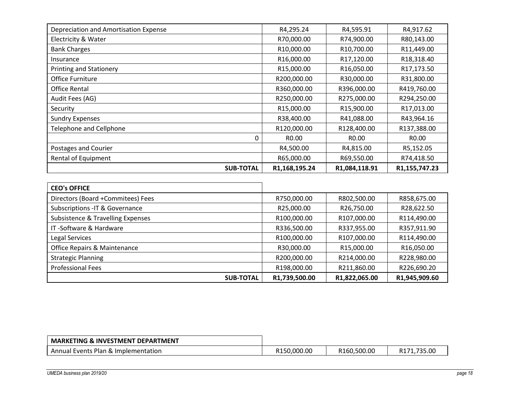| <b>SUB-TOTAL</b>                      | R1,168,195.24      | R1,084,118.91 | R1,155,747.23      |
|---------------------------------------|--------------------|---------------|--------------------|
| Rental of Equipment                   | R65,000.00         | R69,550.00    | R74,418.50         |
| Postages and Courier                  | R4,500.00          | R4,815.00     | R5,152.05          |
| 0                                     | R <sub>0</sub> .00 | R0.00         | R <sub>0</sub> .00 |
| <b>Telephone and Cellphone</b>        | R120,000.00        | R128,400.00   | R137,388.00        |
| <b>Sundry Expenses</b>                | R38,400.00         | R41,088.00    | R43,964.16         |
| Security                              | R15,000.00         | R15,900.00    | R17,013.00         |
| Audit Fees (AG)                       | R250,000.00        | R275,000.00   | R294,250.00        |
| <b>Office Rental</b>                  | R360,000.00        | R396,000.00   | R419,760.00        |
| Office Furniture                      | R200,000.00        | R30,000.00    | R31,800.00         |
| <b>Printing and Stationery</b>        | R15,000.00         | R16,050.00    | R17,173.50         |
| Insurance                             | R16,000.00         | R17,120.00    | R18,318.40         |
| <b>Bank Charges</b>                   | R10,000.00         | R10,700.00    | R11,449.00         |
| Electricity & Water                   | R70,000.00         | R74,900.00    | R80,143.00         |
| Depreciation and Amortisation Expense | R4,295.24          | R4,595.91     | R4,917.62          |

| <b>CEO's OFFICE</b>               |               |               |               |
|-----------------------------------|---------------|---------------|---------------|
| Directors (Board +Commitees) Fees | R750,000.00   | R802,500.00   | R858,675.00   |
| Subscriptions - IT & Governance   | R25,000.00    | R26,750.00    | R28,622.50    |
| Subsistence & Travelling Expenses | R100,000.00   | R107,000.00   | R114,490.00   |
| IT-Software & Hardware            | R336,500.00   | R337,955.00   | R357,911.90   |
| Legal Services                    | R100,000.00   | R107,000.00   | R114,490.00   |
| Office Repairs & Maintenance      | R30,000.00    | R15,000.00    | R16,050.00    |
| <b>Strategic Planning</b>         | R200,000.00   | R214,000.00   | R228,980.00   |
| <b>Professional Fees</b>          | R198,000.00   | R211,860.00   | R226,690.20   |
| <b>SUB-TOTAL</b>                  | R1,739,500.00 | R1,822,065.00 | R1,945,909.60 |

| <b>MARKETING &amp; INVESTMENT DEPARTMENT</b> |             |             |        |
|----------------------------------------------|-------------|-------------|--------|
| Annual Events Plan & Implementation          | R150.000.00 | R160,500.00 | 735.00 |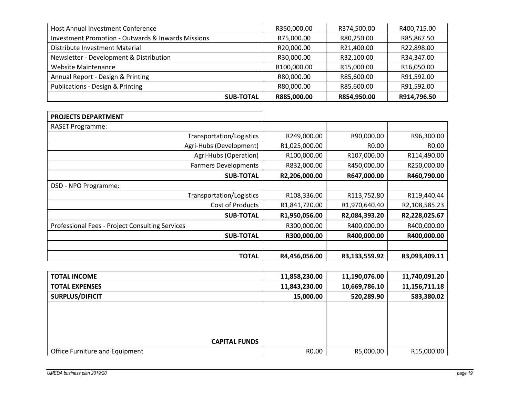| Host Annual Investment Conference                             | R350,000.00 | R374,500.00 | R400,715.00 |
|---------------------------------------------------------------|-------------|-------------|-------------|
| <b>Investment Promotion - Outwards &amp; Inwards Missions</b> | R75,000.00  | R80,250.00  | R85,867.50  |
| Distribute Investment Material                                | R20,000.00  | R21,400.00  | R22,898.00  |
| Newsletter - Development & Distribution                       | R30,000.00  | R32,100.00  | R34,347.00  |
| <b>Website Maintenance</b>                                    | R100,000.00 | R15,000.00  | R16,050.00  |
| Annual Report - Design & Printing                             | R80,000.00  | R85,600.00  | R91,592.00  |
| <b>Publications - Design &amp; Printing</b>                   | R80,000.00  | R85,600.00  | R91,592.00  |
| <b>SUB-TOTAL</b>                                              | R885,000.00 | R854,950.00 | R914,796.50 |

| <b>PROJECTS DEPARTMENT</b>                      |               |                    |               |
|-------------------------------------------------|---------------|--------------------|---------------|
| <b>RASET Programme:</b>                         |               |                    |               |
| Transportation/Logistics                        | R249,000.00   | R90,000.00         | R96,300.00    |
| Agri-Hubs (Development)                         | R1,025,000.00 | R <sub>0</sub> .00 | R0.00         |
| Agri-Hubs (Operation)                           | R100,000.00   | R107,000.00        | R114,490.00   |
| <b>Farmers Developments</b>                     | R832,000.00   | R450,000.00        | R250,000.00   |
| <b>SUB-TOTAL</b>                                | R2,206,000.00 | R647,000.00        | R460,790.00   |
| DSD - NPO Programme:                            |               |                    |               |
| Transportation/Logistics                        | R108,336.00   | R113,752.80        | R119,440.44   |
| Cost of Products                                | R1,841,720.00 | R1,970,640.40      | R2,108,585.23 |
| <b>SUB-TOTAL</b>                                | R1,950,056.00 | R2,084,393.20      | R2,228,025.67 |
| Professional Fees - Project Consulting Services | R300,000.00   | R400,000.00        | R400,000.00   |
| <b>SUB-TOTAL</b>                                | R300,000.00   | R400,000.00        | R400,000.00   |
|                                                 |               |                    |               |
| <b>TOTAL</b>                                    | R4,456,056.00 | R3,133,559.92      | R3,093,409.11 |

| <b>TOTAL INCOME</b>            | 11,858,230.00 | 11,190,076.00 | 11,740,091.20 |
|--------------------------------|---------------|---------------|---------------|
| <b>TOTAL EXPENSES</b>          | 11,843,230.00 | 10,669,786.10 | 11,156,711.18 |
| SURPLUS/DIFICIT                | 15,000.00     | 520,289.90    | 583,380.02    |
|                                |               |               |               |
|                                |               |               |               |
|                                |               |               |               |
| <b>CAPITAL FUNDS</b>           |               |               |               |
|                                |               |               |               |
| Office Furniture and Equipment | R0.00         | R5,000.00     | R15,000.00    |